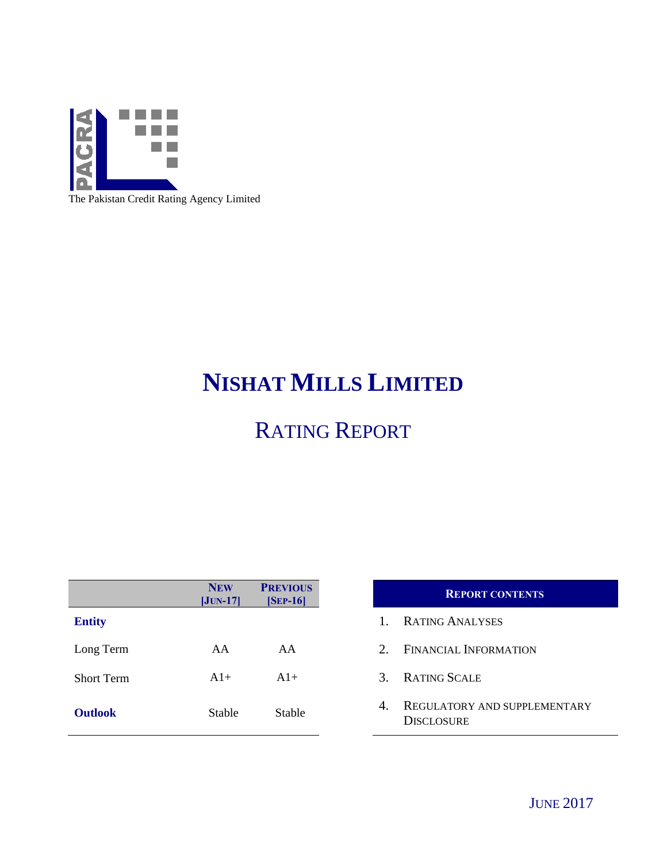

The Pakistan Credit Rating Agency Limited

# **NISHAT MILLS LIMITED**

# RATING REPORT

|                   | <b>NEW</b><br>$[JUN-17]$ | <b>PREVIOUS</b><br>$[SEP-16]$ |
|-------------------|--------------------------|-------------------------------|
| <b>Entity</b>     |                          |                               |
| Long Term         | AA                       | AA                            |
| <b>Short Term</b> | $A1+$                    | $A1+$                         |
| <b>Outlook</b>    | Stable                   | Stable                        |

# **REPORT CONTENTS**

- 1. RATING ANALYSES
- 2. FINANCIAL INFORMATION
- 3. RATING SCALE
- **4. REGULATORY AND SUPPLEMENTARY DISCLOSURE**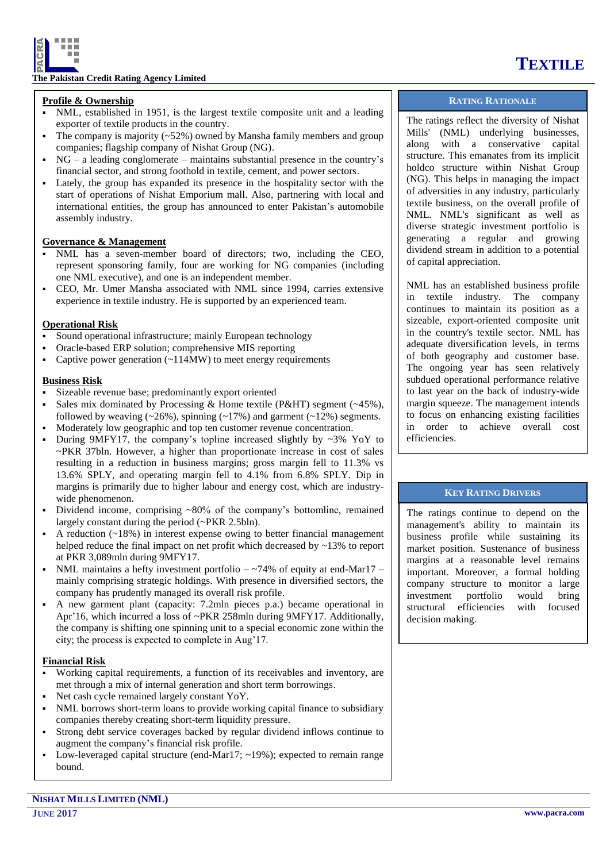

## **The Pakistan Credit Rating Agency Limited**

# **Profile & Ownership**

- NML, established in 1951, is the largest textile composite unit and a leading exporter of textile products in the country.
- The company is majority (~52%) owned by Mansha family members and group companies; flagship company of Nishat Group (NG).
- $NG a$  leading conglomerate maintains substantial presence in the country's financial sector, and strong foothold in textile, cement, and power sectors.
- Lately, the group has expanded its presence in the hospitality sector with the start of operations of Nishat Emporium mall. Also, partnering with local and international entities, the group has announced to enter Pakistan's automobile assembly industry.

# **Governance & Management**

- NML has a seven-member board of directors; two, including the CEO, represent sponsoring family, four are working for NG companies (including one NML executive), and one is an independent member.
- CEO, Mr. Umer Mansha associated with NML since 1994, carries extensive experience in textile industry. He is supported by an experienced team.

## **Operational Risk**

- Sound operational infrastructure; mainly European technology
- Oracle-based ERP solution; comprehensive MIS reporting
- Captive power generation (~114MW) to meet energy requirements

## **Business Risk**

- Sizeable revenue base; predominantly export oriented
- Sales mix dominated by Processing & Home textile (P&HT) segment (~45%), followed by weaving  $(-26\%)$ , spinning  $(-17\%)$  and garment  $(-12\%)$  segments.
- Moderately low geographic and top ten customer revenue concentration.
- During 9MFY17, the company's topline increased slightly by  $\sim$ 3% YoY to ~PKR 37bln. However, a higher than proportionate increase in cost of sales resulting in a reduction in business margins; gross margin fell to 11.3% vs 13.6% SPLY, and operating margin fell to 4.1% from 6.8% SPLY. Dip in margins is primarily due to higher labour and energy cost, which are industrywide phenomenon.
- Dividend income, comprising ~80% of the company's bottomline, remained largely constant during the period (~PKR 2.5bln).
- A reduction (~18%) in interest expense owing to better financial management helped reduce the final impact on net profit which decreased by  $\sim$ 13% to report at PKR 3,089mln during 9MFY17.
- NML maintains a hefty investment portfolio  $-$  ~74% of equity at end-Mar17 mainly comprising strategic holdings. With presence in diversified sectors, the company has prudently managed its overall risk profile.
- A new garment plant (capacity: 7.2mln pieces p.a.) became operational in Apr'16, which incurred a loss of ~PKR 258mln during 9MFY17. Additionally, the company is shifting one spinning unit to a special economic zone within the city; the process is expected to complete in Aug'17.

### **Financial Risk**

- Working capital requirements, a function of its receivables and inventory, are met through a mix of internal generation and short term borrowings.
- Net cash cycle remained largely constant YoY.
- NML borrows short-term loans to provide working capital finance to subsidiary companies thereby creating short-term liquidity pressure.
- Strong debt service coverages backed by regular dividend inflows continue to augment the company's financial risk profile.
- Low-leveraged capital structure (end-Mar17;  $\sim$ 19%); expected to remain range bound.

# **RATING RATIONALE**

The ratings reflect the diversity of Nishat Mills' (NML) underlying businesses, along with a conservative capital structure. This emanates from its implicit holdco structure within Nishat Group (NG). This helps in managing the impact of adversities in any industry, particularly textile business, on the overall profile of NML. NML's significant as well as diverse strategic investment portfolio is generating a regular and growing dividend stream in addition to a potential of capital appreciation.

NML has an established business profile in textile industry. The company continues to maintain its position as a sizeable, export-oriented composite unit in the country's textile sector. NML has adequate diversification levels, in terms of both geography and customer base. The ongoing year has seen relatively subdued operational performance relative to last year on the back of industry-wide margin squeeze. The management intends to focus on enhancing existing facilities in order to achieve overall cost efficiencies.

# **KEY RATING DRIVERS**

The ratings continue to depend on the management's ability to maintain its business profile while sustaining its market position. Sustenance of business margins at a reasonable level remains important. Moreover, a formal holding company structure to monitor a large investment portfolio would bring structural efficiencies with focused decision making.

# **TEXTILE**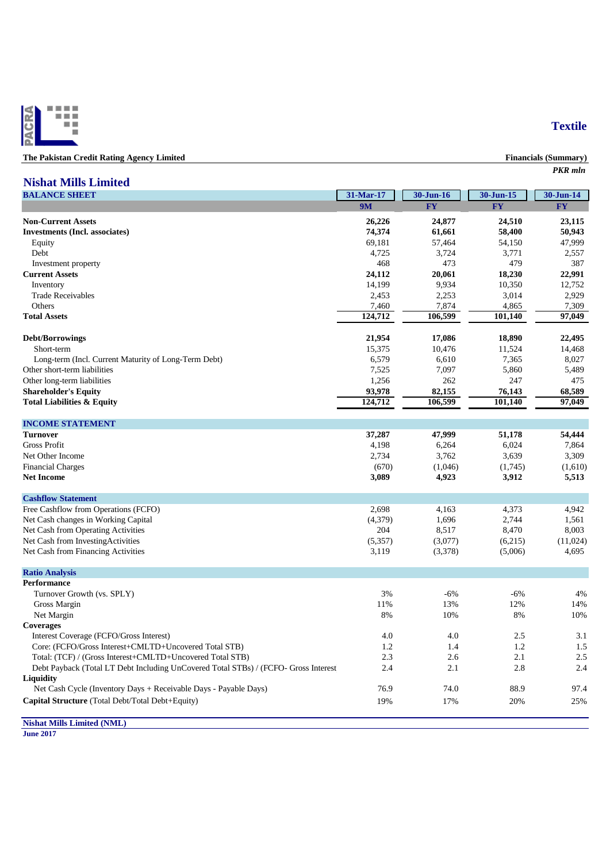

| The Pakistan Credit Rating Agency Limited | <b>Financials (Summary</b> |
|-------------------------------------------|----------------------------|
|                                           | PKR mln                    |

# **Nishat Mills Limited**

| <b>BALANCE SHEET</b>                                                                | 31-Mar-17 | 30-Jun-16 | 30-Jun-15 | 30-Jun-14 |
|-------------------------------------------------------------------------------------|-----------|-----------|-----------|-----------|
|                                                                                     | <b>9M</b> | <b>FY</b> | <b>FY</b> | <b>FY</b> |
| <b>Non-Current Assets</b>                                                           | 26,226    | 24,877    | 24,510    | 23,115    |
| <b>Investments (Incl. associates)</b>                                               | 74,374    | 61,661    | 58,400    | 50,943    |
| Equity                                                                              | 69,181    | 57,464    | 54,150    | 47,999    |
| Debt                                                                                | 4,725     | 3,724     | 3,771     | 2,557     |
| Investment property                                                                 | 468       | 473       | 479       | 387       |
| <b>Current Assets</b>                                                               | 24,112    | 20,061    | 18,230    | 22,991    |
| Inventory                                                                           | 14,199    | 9,934     | 10,350    | 12,752    |
| <b>Trade Receivables</b>                                                            | 2,453     | 2,253     | 3,014     | 2,929     |
| Others                                                                              | 7,460     | 7,874     | 4,865     | 7,309     |
| <b>Total Assets</b>                                                                 | 124,712   | 106,599   | 101,140   | 97,049    |
|                                                                                     |           |           |           |           |
| <b>Debt/Borrowings</b>                                                              | 21,954    | 17,086    | 18,890    | 22,495    |
| Short-term                                                                          | 15,375    | 10,476    | 11,524    | 14,468    |
| Long-term (Incl. Current Maturity of Long-Term Debt)                                | 6,579     | 6,610     | 7,365     | 8,027     |
| Other short-term liabilities                                                        | 7,525     | 7,097     | 5,860     | 5,489     |
| Other long-term liabilities                                                         | 1,256     | 262       | 247       | 475       |
| <b>Shareholder's Equity</b>                                                         | 93,978    | 82,155    | 76,143    | 68.589    |
| <b>Total Liabilities &amp; Equity</b>                                               | 124,712   | 106,599   | 101,140   | 97,049    |
| <b>INCOME STATEMENT</b>                                                             |           |           |           |           |
| <b>Turnover</b>                                                                     | 37,287    | 47,999    | 51,178    | 54,444    |
| <b>Gross Profit</b>                                                                 | 4,198     | 6,264     | 6,024     | 7,864     |
| Net Other Income                                                                    | 2,734     | 3,762     | 3,639     | 3,309     |
| <b>Financial Charges</b>                                                            | (670)     | (1,046)   | (1,745)   | (1,610)   |
| <b>Net Income</b>                                                                   | 3,089     | 4,923     | 3,912     | 5,513     |
| <b>Cashflow Statement</b>                                                           |           |           |           |           |
| Free Cashflow from Operations (FCFO)                                                | 2,698     | 4,163     | 4,373     | 4,942     |
| Net Cash changes in Working Capital                                                 | (4,379)   | 1,696     | 2,744     | 1,561     |
| Net Cash from Operating Activities                                                  | 204       | 8,517     | 8,470     | 8,003     |
| Net Cash from Investing Activities                                                  | (5,357)   | (3,077)   | (6,215)   | (11,024)  |
| Net Cash from Financing Activities                                                  | 3,119     | (3,378)   | (5,006)   | 4,695     |
| <b>Ratio Analysis</b>                                                               |           |           |           |           |
| <b>Performance</b>                                                                  |           |           |           |           |
| Turnover Growth (vs. SPLY)                                                          | 3%        | $-6%$     | $-6%$     | 4%        |
| Gross Margin                                                                        | 11%       | 13%       | 12%       | 14%       |
| Net Margin                                                                          | 8%        | 10%       | 8%        | 10%       |
| <b>Coverages</b>                                                                    |           |           |           |           |
| Interest Coverage (FCFO/Gross Interest)                                             | 4.0       | 4.0       | 2.5       | 3.1       |
| Core: (FCFO/Gross Interest+CMLTD+Uncovered Total STB)                               | 1.2       | 1.4       | 1.2       | 1.5       |
| Total: (TCF) / (Gross Interest+CMLTD+Uncovered Total STB)                           | 2.3       | 2.6       | 2.1       | 2.5       |
| Debt Payback (Total LT Debt Including UnCovered Total STBs) / (FCFO- Gross Interest | 2.4       | 2.1       | 2.8       | 2.4       |
| Liquidity                                                                           |           |           |           |           |
| Net Cash Cycle (Inventory Days + Receivable Days - Payable Days)                    | 76.9      | 74.0      | 88.9      | 97.4      |
|                                                                                     |           |           |           |           |
| Capital Structure (Total Debt/Total Debt+Equity)                                    | 19%       | 17%       | 20%       | 25%       |

**Nishat Mills Limited (NML)**

**June 2017**

# **Textile**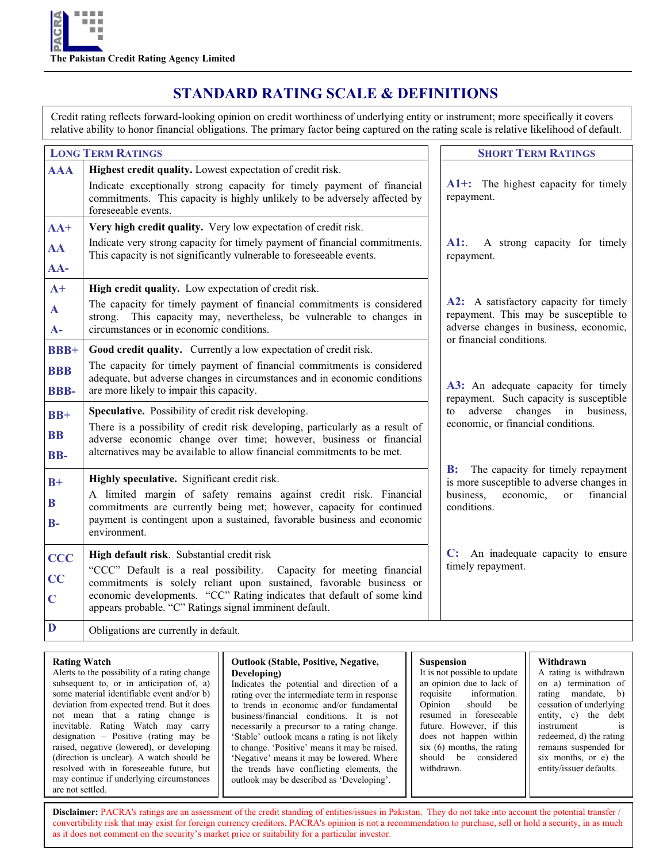# **STANDARD RATING SCALE & DEFINITIONS**

Credit rating reflects forward-looking opinion on credit worthiness of underlying entity or instrument; more specifically it covers relative ability to honor financial obligations. The primary factor being captured on the rating scale is relative likelihood of default.

|                     | <b>LONG TERM RATINGS</b>                                                                                                                                                                      | <b>SHORT TERM RATINGS</b>                                                                                                 |
|---------------------|-----------------------------------------------------------------------------------------------------------------------------------------------------------------------------------------------|---------------------------------------------------------------------------------------------------------------------------|
| <b>AAA</b>          | Highest credit quality. Lowest expectation of credit risk.                                                                                                                                    |                                                                                                                           |
|                     | Indicate exceptionally strong capacity for timely payment of financial<br>commitments. This capacity is highly unlikely to be adversely affected by<br>foreseeable events.                    | A1+: The highest capacity for timely<br>repayment.                                                                        |
| $AA+$               | Very high credit quality. Very low expectation of credit risk.                                                                                                                                |                                                                                                                           |
| AA                  | Indicate very strong capacity for timely payment of financial commitments.<br>This capacity is not significantly vulnerable to foreseeable events.                                            | $\mathbf{A}$ 1:.<br>A strong capacity for timely<br>repayment.                                                            |
| AA-                 |                                                                                                                                                                                               |                                                                                                                           |
| $A+$                | High credit quality. Low expectation of credit risk.                                                                                                                                          |                                                                                                                           |
| $\mathbf A$<br>$A-$ | The capacity for timely payment of financial commitments is considered<br>This capacity may, nevertheless, be vulnerable to changes in<br>strong.<br>circumstances or in economic conditions. | A2: A satisfactory capacity for timely<br>repayment. This may be susceptible to<br>adverse changes in business, economic, |
|                     |                                                                                                                                                                                               | or financial conditions.                                                                                                  |
| <b>BBB+</b>         | Good credit quality. Currently a low expectation of credit risk.                                                                                                                              |                                                                                                                           |
| <b>BBB</b>          | The capacity for timely payment of financial commitments is considered<br>adequate, but adverse changes in circumstances and in economic conditions                                           |                                                                                                                           |
| <b>BBB-</b>         | are more likely to impair this capacity.                                                                                                                                                      | A3: An adequate capacity for timely<br>repayment. Such capacity is susceptible                                            |
| $BB+$               | Speculative. Possibility of credit risk developing.                                                                                                                                           | adverse<br>changes in business,<br>to                                                                                     |
|                     | There is a possibility of credit risk developing, particularly as a result of                                                                                                                 | economic, or financial conditions.                                                                                        |
| <b>BB</b>           | adverse economic change over time; however, business or financial<br>alternatives may be available to allow financial commitments to be met.                                                  |                                                                                                                           |
| BB-                 |                                                                                                                                                                                               | B:                                                                                                                        |
| $B+$                | Highly speculative. Significant credit risk.                                                                                                                                                  | The capacity for timely repayment<br>is more susceptible to adverse changes in                                            |
| B                   | A limited margin of safety remains against credit risk. Financial                                                                                                                             | business.<br>financial<br>economic,<br>$\alpha$                                                                           |
|                     | commitments are currently being met; however, capacity for continued<br>payment is contingent upon a sustained, favorable business and economic                                               | conditions.                                                                                                               |
| $B-$                | environment.                                                                                                                                                                                  |                                                                                                                           |
| <b>CCC</b>          | High default risk. Substantial credit risk                                                                                                                                                    | An inadequate capacity to ensure<br>C:                                                                                    |
|                     | "CCC" Default is a real possibility. Capacity for meeting financial                                                                                                                           | timely repayment.                                                                                                         |
| CC                  | commitments is solely reliant upon sustained, favorable business or                                                                                                                           |                                                                                                                           |
| $\mathbf C$         | economic developments. "CC" Rating indicates that default of some kind<br>appears probable. "C" Ratings signal imminent default.                                                              |                                                                                                                           |
| D                   | Obligations are currently in default.                                                                                                                                                         |                                                                                                                           |

### **Rating Watch**

Alerts to the possibility of a rating change subsequent to, or in anticipation of, a) some material identifiable event and/or b) deviation from expected trend. But it does not mean that a rating change is inevitable. Rating Watch may carry designation – Positive (rating may be raised, negative (lowered), or developing (direction is unclear). A watch should be resolved with in foreseeable future, but may continue if underlying circumstances are not settled.

# **Outlook (Stable, Positive, Negative, Developing)**

Indicates the potential and direction of a rating over the intermediate term in response to trends in economic and/or fundamental business/financial conditions. It is not necessarily a precursor to a rating change. 'Stable' outlook means a rating is not likely to change. 'Positive' means it may be raised. 'Negative' means it may be lowered. Where the trends have conflicting elements, the outlook may be described as 'Developing'.

# **Suspension**

It is not possible to update an opinion due to lack of requisite information. Opinion should be resumed in foreseeable future. However, if this does not happen within six (6) months, the rating should be considered withdrawn.

### **Withdrawn**

A rating is withdrawn on a) termination of rating mandate, b) cessation of underlying entity, c) the debt instrument is redeemed, d) the rating remains suspended for six months, or e) the entity/issuer defaults.

Disclaimer: PACRA's ratings are an assessment of the credit standing of entities/issues in Pakistan. They do not take into account the potential transfer / convertibility risk that may exist for foreign currency creditors. PACRA's opinion is not a recommendation to purchase, sell or hold a security, in as much as it does not comment on the security's market price or suitability for a particular investor.